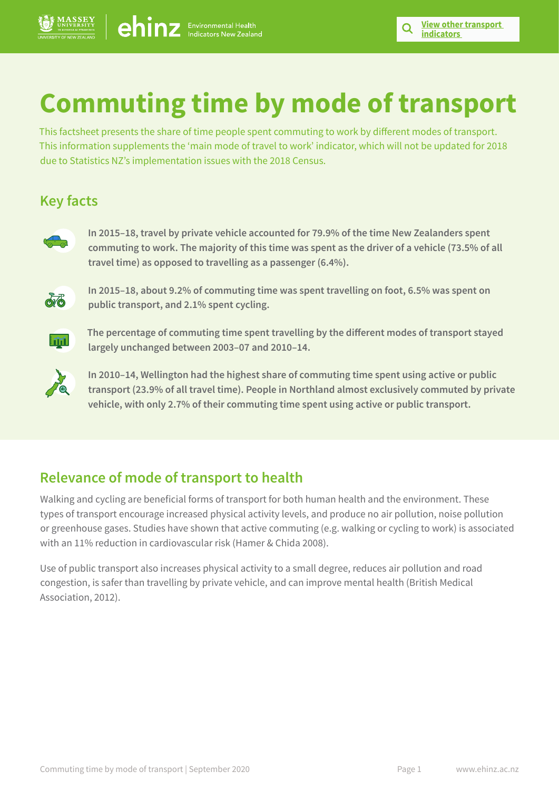# **Commuting time by mode of transport**

This factsheet presents the share of time people spent commuting to work by different modes of transport. This information supplements the 'main mode of travel to work' indicator, which will not be updated for 2018 due to Statistics NZ's implementation issues with the 2018 Census.

## **Key facts**



**In 2015–18, travel by private vehicle accounted for 79.9% of the time New Zealanders spent commuting to work. The majority of this time was spent as the driver of a vehicle (73.5% of all travel time) as opposed to travelling as a passenger (6.4%).**



**In 2015–18, about 9.2% of commuting time was spent travelling on foot, 6.5% was spent on public transport, and 2.1% spent cycling.** 



**The percentage of commuting time spent travelling by the different modes of transport stayed largely unchanged between 2003–07 and 2010–14.**



**In 2010–14, Wellington had the highest share of commuting time spent using active or public transport (23.9% of all travel time). People in Northland almost exclusively commuted by private vehicle, with only 2.7% of their commuting time spent using active or public transport.**

## **Relevance of mode of transport to health**

Walking and cycling are beneficial forms of transport for both human health and the environment. These types of transport encourage increased physical activity levels, and produce no air pollution, noise pollution or greenhouse gases. Studies have shown that active commuting (e.g. walking or cycling to work) is associated with an 11% reduction in cardiovascular risk (Hamer & Chida 2008).

Use of public transport also increases physical activity to a small degree, reduces air pollution and road congestion, is safer than travelling by private vehicle, and can improve mental health (British Medical Association, 2012).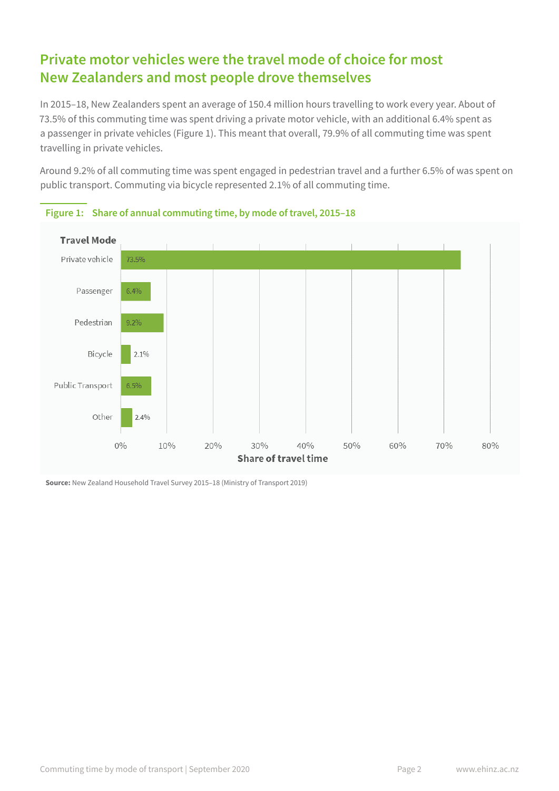## **Private motor vehicles were the travel mode of choice for most New Zealanders and most people drove themselves**

In 2015–18, New Zealanders spent an average of 150.4 million hours travelling to work every year. About of 73.5% of this commuting time was spent driving a private motor vehicle, with an additional 6.4% spent as a passenger in private vehicles (Figure 1). This meant that overall, 79.9% of all commuting time was spent travelling in private vehicles.

Around 9.2% of all commuting time was spent engaged in pedestrian travel and a further 6.5% of was spent on public transport. Commuting via bicycle represented 2.1% of all commuting time.





**Source:** New Zealand Household Travel Survey 2015–18 (Ministry of Transport 2019)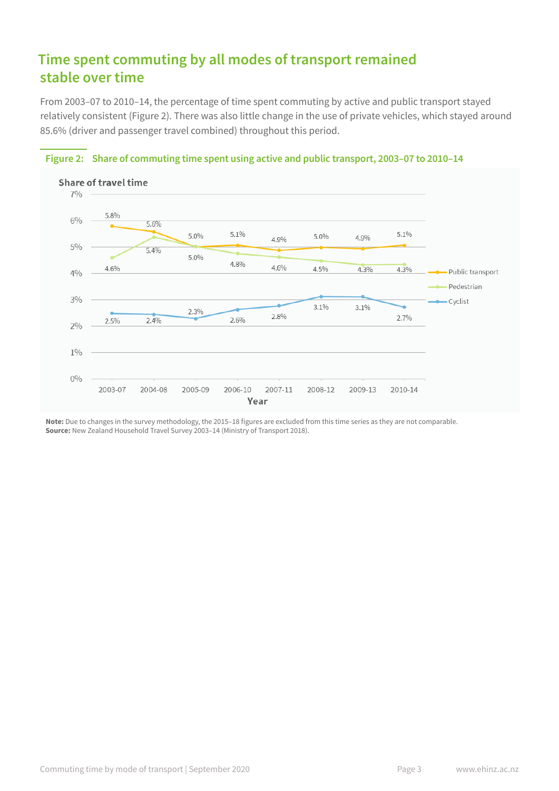# **Time spent commuting by all modes of transport remained stable over time**

From 2003–07 to 2010–14, the percentage of time spent commuting by active and public transport stayed relatively consistent (Figure 2). There was also little change in the use of private vehicles, which stayed around 85.6% (driver and passenger travel combined) throughout this period.



#### **Figure 2: Share of commuting time spent using active and public transport, 2003–07 to 2010–14**

**Note:** Due to changes in the survey methodology, the 2015–18 figures are excluded from this time series as they are not comparable. **Source:** New Zealand Household Travel Survey 2003–14 (Ministry of Transport 2018).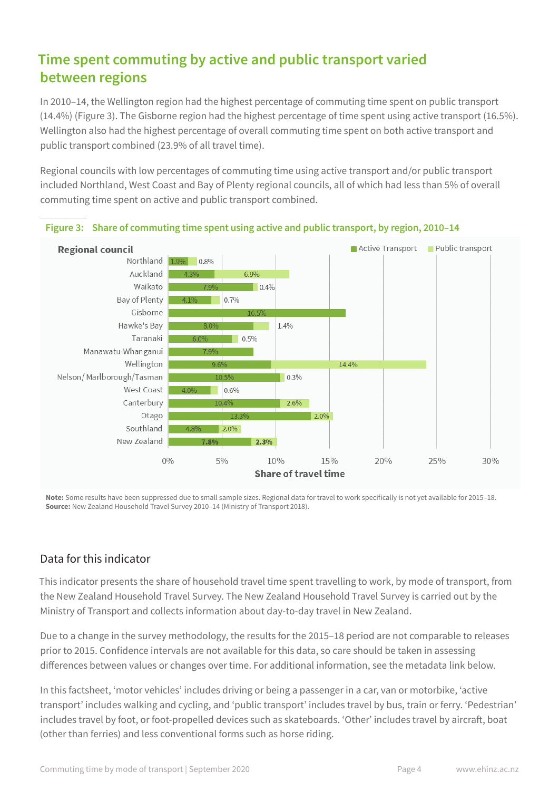# **Time spent commuting by active and public transport varied between regions**

In 2010–14, the Wellington region had the highest percentage of commuting time spent on public transport (14.4%) (Figure 3). The Gisborne region had the highest percentage of time spent using active transport (16.5%). Wellington also had the highest percentage of overall commuting time spent on both active transport and public transport combined (23.9% of all travel time).

Regional councils with low percentages of commuting time using active transport and/or public transport included Northland, West Coast and Bay of Plenty regional councils, all of which had less than 5% of overall commuting time spent on active and public transport combined.



#### **Figure 3: Share of commuting time spent using active and public transport, by region, 2010–14**

**Note:** Some results have been suppressed due to small sample sizes. Regional data for travel to work specifically is not yet available for 2015–18. **Source:** New Zealand Household Travel Survey 2010–14 (Ministry of Transport 2018).

## Data for this indicator

This indicator presents the share of household travel time spent travelling to work, by mode of transport, from the New Zealand Household Travel Survey. The New Zealand Household Travel Survey is carried out by the Ministry of Transport and collects information about day-to-day travel in New Zealand.

Due to a change in the survey methodology, the results for the 2015–18 period are not comparable to releases prior to 2015. Confidence intervals are not available for this data, so care should be taken in assessing differences between values or changes over time. For additional information, see the metadata link below.

In this factsheet, 'motor vehicles' includes driving or being a passenger in a car, van or motorbike, 'active transport' includes walking and cycling, and 'public transport' includes travel by bus, train or ferry. 'Pedestrian' includes travel by foot, or foot-propelled devices such as skateboards. 'Other' includes travel by aircraft, boat (other than ferries) and less conventional forms such as horse riding.